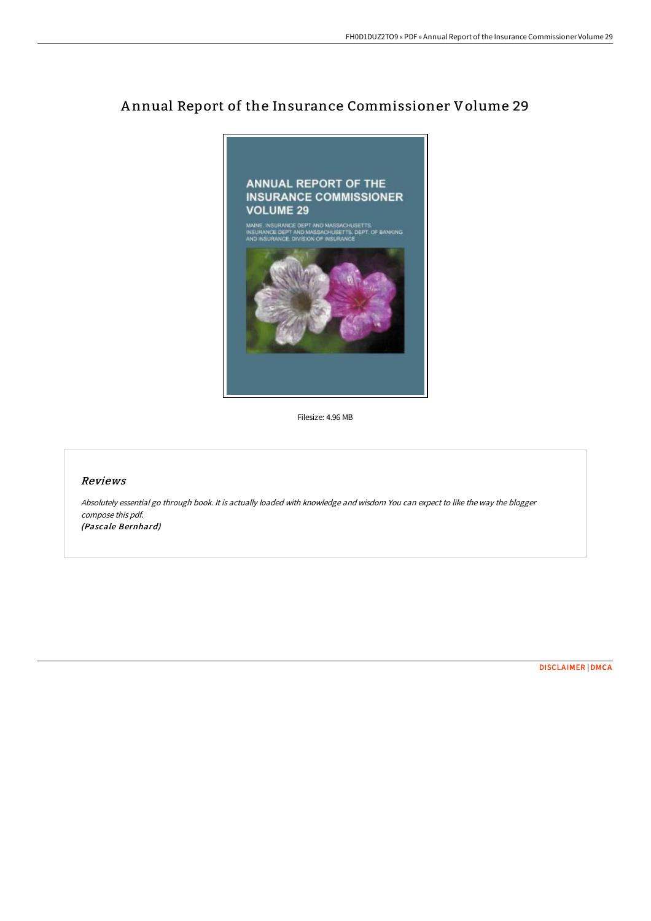## A nnual Report of the Insurance Commissioner Volume 29



Filesize: 4.96 MB

## Reviews

Absolutely essential go through book. It is actually loaded with knowledge and wisdom You can expect to like the way the blogger compose this pdf. (Pascale Bernhard)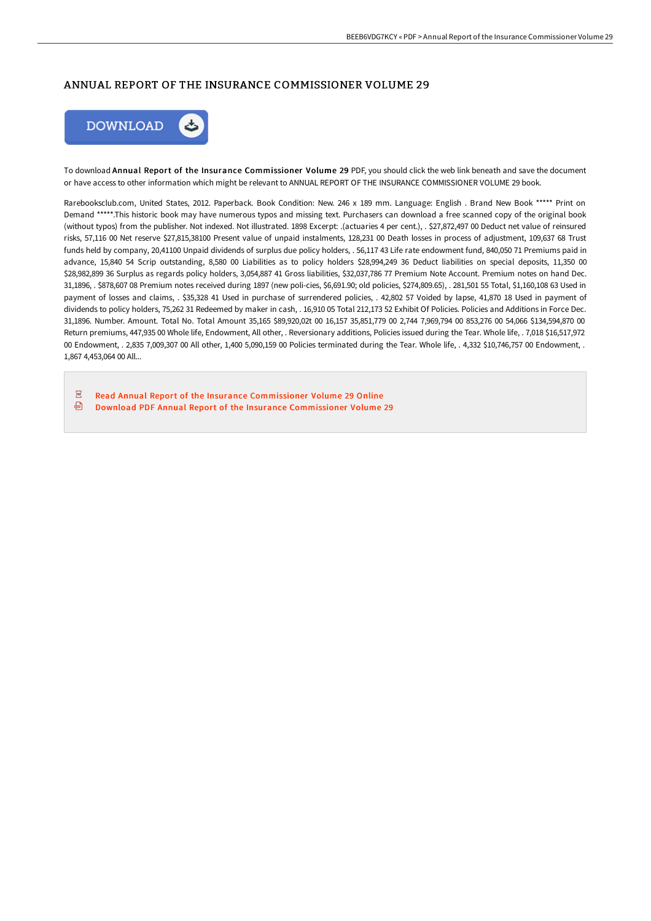## ANNUAL REPORT OF THE INSURANCE COMMISSIONER VOLUME 29



To download Annual Report of the Insurance Commissioner Volume 29 PDF, you should click the web link beneath and save the document or have access to other information which might be relevant to ANNUAL REPORT OF THE INSURANCE COMMISSIONER VOLUME 29 book.

Rarebooksclub.com, United States, 2012. Paperback. Book Condition: New. 246 x 189 mm. Language: English . Brand New Book \*\*\*\*\* Print on Demand \*\*\*\*\*.This historic book may have numerous typos and missing text. Purchasers can download a free scanned copy of the original book (without typos) from the publisher. Not indexed. Not illustrated. 1898 Excerpt: .(actuaries 4 per cent.), . \$27,872,497 00 Deduct net value of reinsured risks, 57,116 00 Net reserve \$27,815,38100 Present value of unpaid instalments, 128,231 00 Death losses in process of adjustment, 109,637 68 Trust funds held by company, 20,41100 Unpaid dividends of surplus due policy holders, . 56,117 43 Life rate endowment fund, 840,050 71 Premiums paid in advance, 15,840 54 Scrip outstanding, 8,580 00 Liabilities as to policy holders \$28,994,249 36 Deduct liabilities on special deposits, 11,350 00 \$28,982,899 36 Surplus as regards policy holders, 3,054,887 41 Gross liabilities, \$32,037,786 77 Premium Note Account. Premium notes on hand Dec. 31,1896, . \$878,607 08 Premium notes received during 1897 (new poli-cies, \$6,691.90; old policies, \$274,809.65), . 281,501 55 Total, \$1,160,108 63 Used in payment of losses and claims, . \$35,328 41 Used in purchase of surrendered policies, . 42,802 57 Voided by lapse, 41,870 18 Used in payment of dividends to policy holders, 75,262 31 Redeemed by maker in cash, . 16,910 05 Total 212,173 52 Exhibit Of Policies. Policies and Additions in Force Dec. 31,1896. Number. Amount. Total No. Total Amount 35,165 \$89,920,02t 00 16,157 35,851,779 00 2,744 7,969,794 00 853,276 00 54,066 \$134,594,870 00 Return premiums, 447,935 00 Whole life, Endowment, All other, . Reversionary additions, Policies issued during the Tear. Whole life, . 7,018 \$16,517,972 00 Endowment, . 2,835 7,009,307 00 All other, 1,400 5,090,159 00 Policies terminated during the Tear. Whole life, . 4,332 \$10,746,757 00 Endowment, . 1,867 4,453,064 00 All...

 $\overline{\text{pos}}$ Read Annual Report of the Insurance [Commissioner](http://albedo.media/annual-report-of-the-insurance-commissioner-volu-1.html) Volume 29 Online ⊕ Download PDF Annual Report of the Insurance [Commissioner](http://albedo.media/annual-report-of-the-insurance-commissioner-volu-1.html) Volume 29